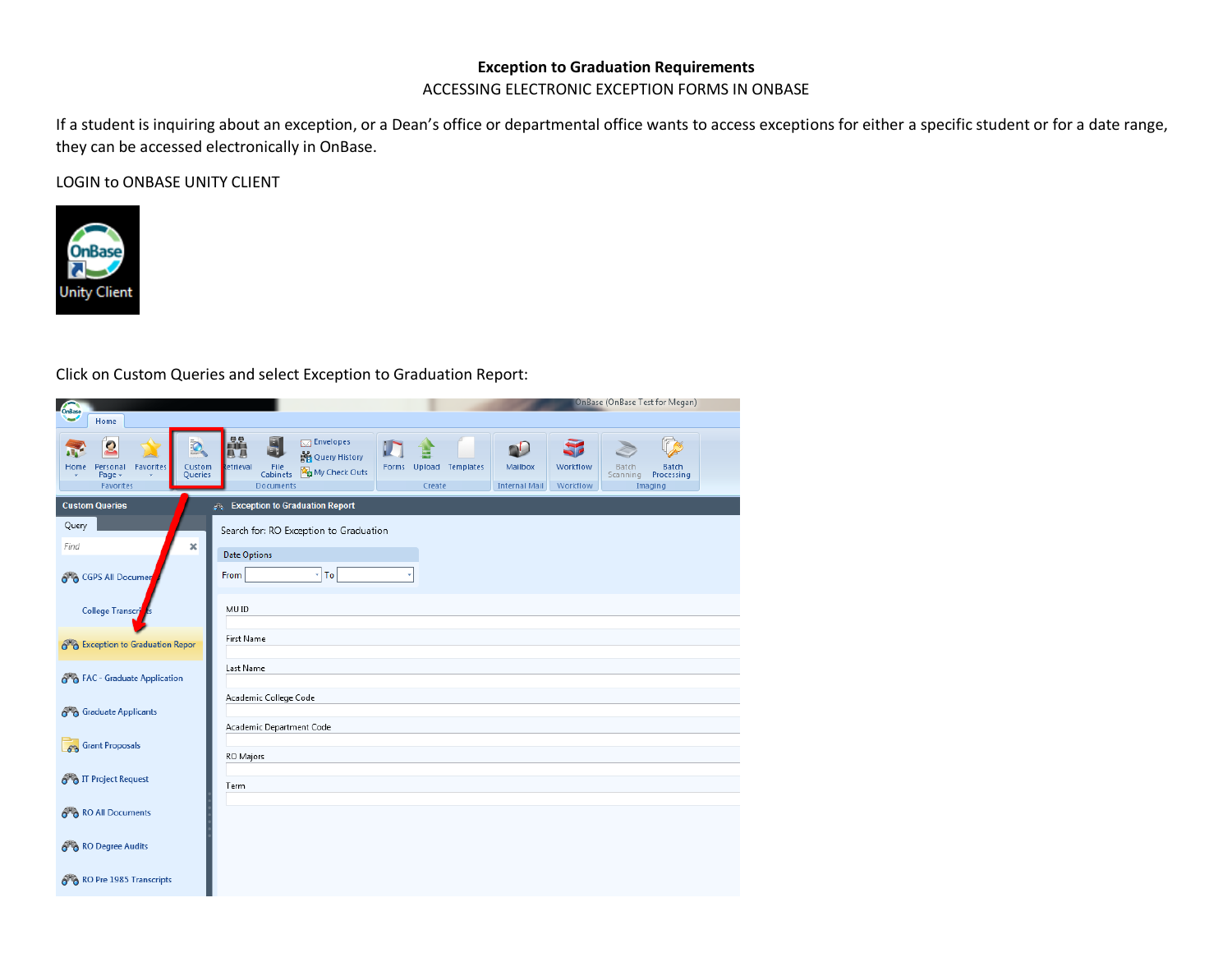## **Exception to Graduation Requirements**

ACCESSING ELECTRONIC EXCEPTION FORMS IN ONBASE

If a student is inquiring about an exception, or a Dean's office or departmental office wants to access exceptions for either a specific student or for a date range, they can be accessed electronically in OnBase.

LOGIN to ONBASE UNITY CLIENT



Click on Custom Queries and select Exception to Graduation Report:

| OrBase<br>Home                                                                            | OnBase (OnBase Test for Megan)                                                                                                                                                                                                                                                           |  |  |  |  |  |  |  |  |  |
|-------------------------------------------------------------------------------------------|------------------------------------------------------------------------------------------------------------------------------------------------------------------------------------------------------------------------------------------------------------------------------------------|--|--|--|--|--|--|--|--|--|
| $\mathbf{S}$<br>Favorites<br>Custom<br>Personal<br>Home<br>Queries<br>Page -<br>Favorites | 鼺<br>団<br>$\boxtimes$ Envelopes<br>60<br>Query History<br>etrieval<br>Forms Upload Templates<br>Mailbox<br>Workflow<br><b>Batch</b><br>File<br>Cabinets <b>Re</b> My Check Outs<br>Batch<br>Scanning<br>Processing<br>Documents<br>Create<br><b>Internal Mail</b><br>Workflow<br>Imaging |  |  |  |  |  |  |  |  |  |
| <b>Custom Queries</b>                                                                     | <b>Exception to Graduation Report</b>                                                                                                                                                                                                                                                    |  |  |  |  |  |  |  |  |  |
| Query<br>$\pmb{\times}$<br>Find                                                           | Search for: RO Exception to Graduation                                                                                                                                                                                                                                                   |  |  |  |  |  |  |  |  |  |
| 6 GPS All Documer                                                                         | <b>Date Options</b><br>$\mathbf{F}$ To<br>From                                                                                                                                                                                                                                           |  |  |  |  |  |  |  |  |  |
| College Transcri                                                                          | MU ID                                                                                                                                                                                                                                                                                    |  |  |  |  |  |  |  |  |  |
| o & Exception to Graduation Repor                                                         | First Name                                                                                                                                                                                                                                                                               |  |  |  |  |  |  |  |  |  |
| 8 & FAC - Graduate Application                                                            | Last Name                                                                                                                                                                                                                                                                                |  |  |  |  |  |  |  |  |  |
|                                                                                           | Academic College Code                                                                                                                                                                                                                                                                    |  |  |  |  |  |  |  |  |  |
| 6 Graduate Applicants                                                                     | Academic Department Code                                                                                                                                                                                                                                                                 |  |  |  |  |  |  |  |  |  |
| 68 Grant Proposals                                                                        |                                                                                                                                                                                                                                                                                          |  |  |  |  |  |  |  |  |  |
|                                                                                           | RO Majors                                                                                                                                                                                                                                                                                |  |  |  |  |  |  |  |  |  |
| <b>org</b> IT Project Request                                                             | Term                                                                                                                                                                                                                                                                                     |  |  |  |  |  |  |  |  |  |
| 8 80 All Documents                                                                        |                                                                                                                                                                                                                                                                                          |  |  |  |  |  |  |  |  |  |
| 8 <sup>%</sup> RO Degree Audits                                                           |                                                                                                                                                                                                                                                                                          |  |  |  |  |  |  |  |  |  |
| 8 RO Pre 1985 Transcripts                                                                 |                                                                                                                                                                                                                                                                                          |  |  |  |  |  |  |  |  |  |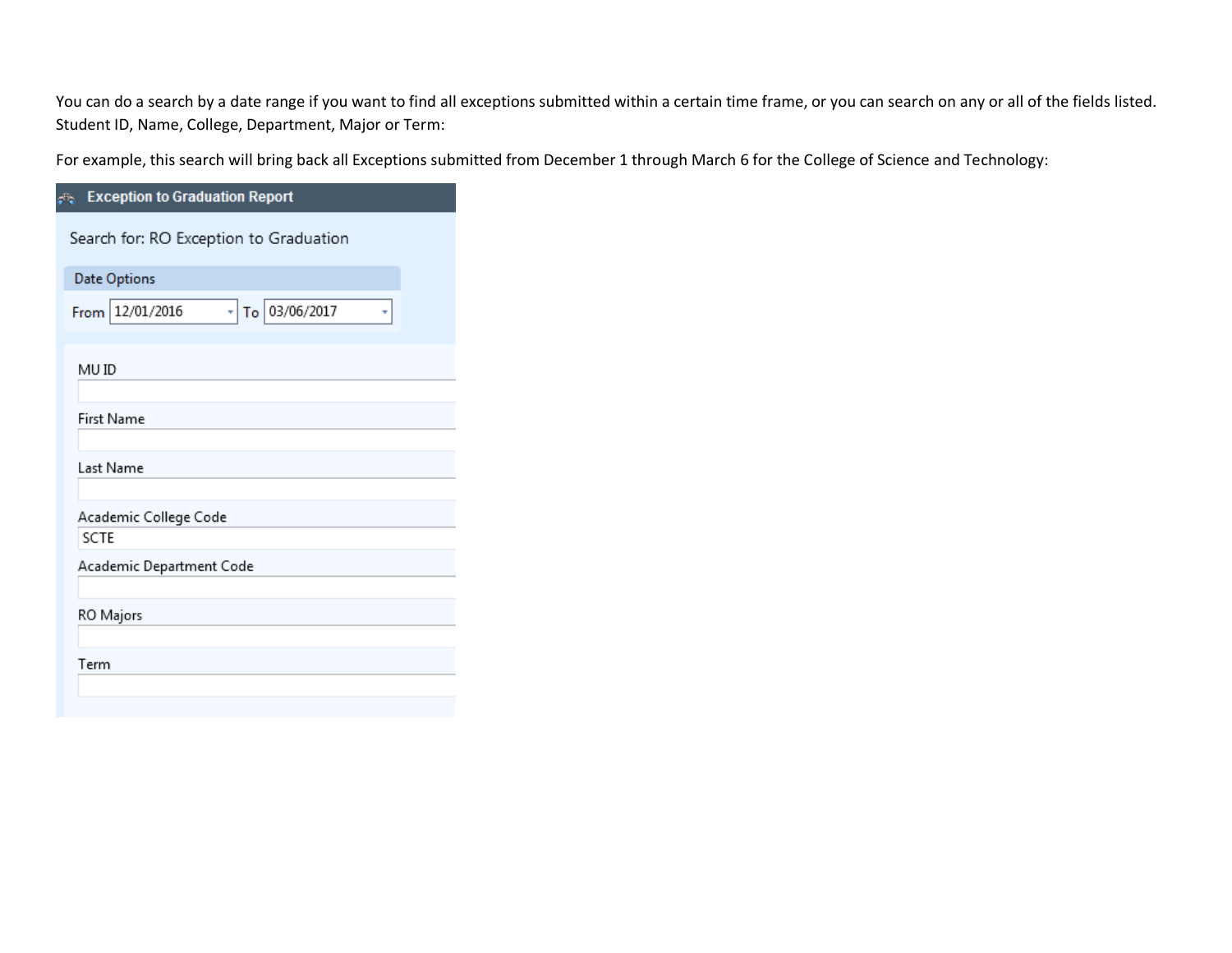You can do a search by a date range if you want to find all exceptions submitted within a certain time frame, or you can search on any or all of the fields listed. Student ID, Name, College, Department, Major or Term:

For example, this search will bring back all Exceptions submitted from December 1 through March 6 for the College of Science and Technology:

| <b>Exception to Graduation Report</b>        |
|----------------------------------------------|
| Search for: RO Exception to Graduation       |
| <b>Date Options</b>                          |
| $\frac{1}{10}$ 03/06/2017<br>From 12/01/2016 |
| MU ID                                        |
| First Name                                   |
| Last Name                                    |
| Academic College Code                        |
| <b>SCTE</b>                                  |
| Academic Department Code                     |
| RO Majors                                    |
| Term                                         |
|                                              |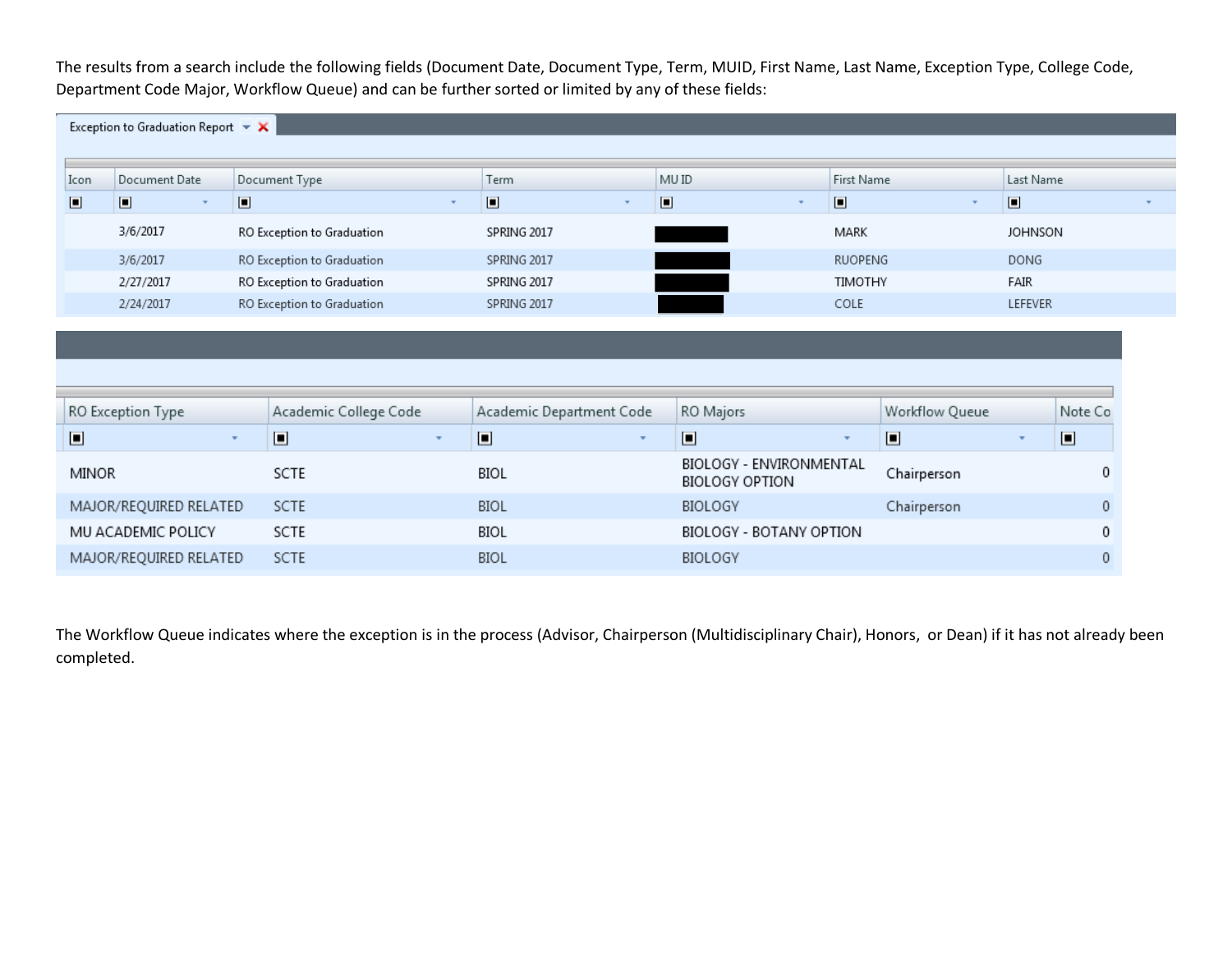The results from a search include the following fields (Document Date, Document Type, Term, MUID, First Name, Last Name, Exception Type, College Code, Department Code Major, Workflow Queue) and can be further sorted or limited by any of these fields:

|                        | Exception to Graduation Report $\overline{\phantom{a}}$ $\overline{\phantom{a}}$ |                            |                            |              |                          |                                   |                                           |                |                                    |                |             |  |
|------------------------|----------------------------------------------------------------------------------|----------------------------|----------------------------|--------------|--------------------------|-----------------------------------|-------------------------------------------|----------------|------------------------------------|----------------|-------------|--|
|                        |                                                                                  |                            |                            |              |                          |                                   |                                           |                |                                    |                |             |  |
| Icon                   | Document Date                                                                    |                            | Document Type              |              | Term                     |                                   | MU ID                                     |                | First Name                         |                | Last Name   |  |
| $\Box$                 | $\Box$                                                                           | $\Box$                     |                            |              | $\blacksquare$           | $\Box$<br>$\overline{\mathbf{v}}$ |                                           | $\Box$         | $\Box$<br>$\overline{\phantom{a}}$ |                |             |  |
|                        | 3/6/2017                                                                         |                            | RO Exception to Graduation |              | SPRING 2017              |                                   | MARK                                      |                | <b>JOHNSON</b>                     |                |             |  |
|                        | 3/6/2017                                                                         | RO Exception to Graduation |                            |              | SPRING 2017              |                                   | <b>RUOPENG</b>                            |                |                                    |                | <b>DONG</b> |  |
|                        | 2/27/2017                                                                        |                            | RO Exception to Graduation |              | SPRING 2017              |                                   |                                           | <b>TIMOTHY</b> |                                    | FAIR           |             |  |
|                        | 2/24/2017                                                                        |                            | RO Exception to Graduation |              | SPRING 2017              |                                   |                                           | COLE           |                                    | <b>LEFEVER</b> |             |  |
|                        |                                                                                  |                            |                            |              |                          |                                   |                                           |                |                                    |                |             |  |
|                        |                                                                                  |                            |                            |              |                          |                                   |                                           |                |                                    |                |             |  |
|                        |                                                                                  |                            |                            |              |                          |                                   |                                           |                |                                    |                |             |  |
|                        |                                                                                  |                            |                            |              |                          |                                   |                                           |                |                                    |                |             |  |
|                        | RO Exception Type                                                                |                            | Academic College Code      |              | Academic Department Code |                                   | RO Majors                                 |                | Workflow Queue                     |                | Note Co     |  |
| $\Box$                 |                                                                                  | $\mathbf{v}$               | $\Box$                     | $\mathbf{v}$ | $\Box$                   | $\overline{\mathbf{v}}$           | $\Box$                                    |                | $\Box$                             | $\mathbf{v}$   | $\Box$      |  |
| MINOR                  |                                                                                  |                            | SCTE                       |              | <b>BIOL</b>              |                                   | BIOLOGY - ENVIRONMENTAL<br>BIOLOGY OPTION |                | Chairperson                        |                | 0           |  |
|                        | MAJOR/REQUIRED RELATED                                                           |                            | <b>SCTE</b>                |              | <b>BIOL</b>              |                                   | BIOLOGY                                   |                | Chairperson                        |                | $\theta$    |  |
| MU ACADEMIC POLICY     |                                                                                  |                            | SCTE                       |              | BIOL                     |                                   | BIOLOGY - BOTANY OPTION                   |                |                                    |                | 0           |  |
| MAJOR/REQUIRED RELATED |                                                                                  |                            | <b>SCTE</b>                |              | <b>BIOL</b>              |                                   | BIOLOGY                                   |                |                                    |                | 0           |  |

The Workflow Queue indicates where the exception is in the process (Advisor, Chairperson (Multidisciplinary Chair), Honors, or Dean) if it has not already been completed.